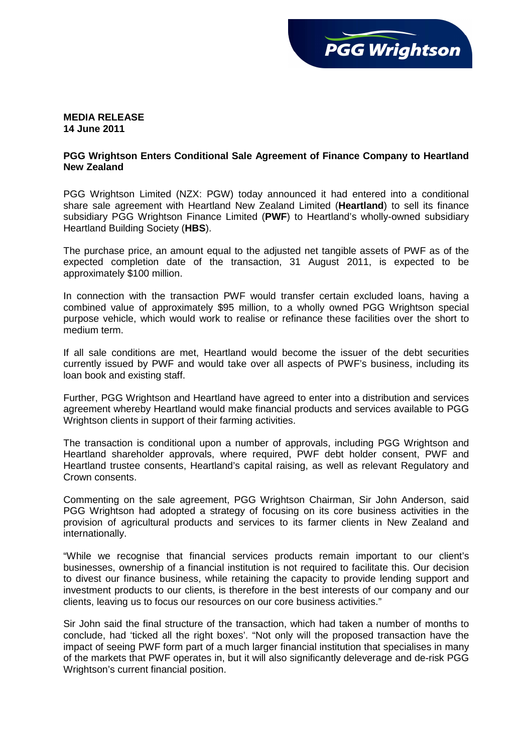

## **MEDIA RELEASE 14 June 2011**

## **PGG Wrightson Enters Conditional Sale Agreement of Finance Company to Heartland New Zealand**

PGG Wrightson Limited (NZX: PGW) today announced it had entered into a conditional share sale agreement with Heartland New Zealand Limited (**Heartland**) to sell its finance subsidiary PGG Wrightson Finance Limited (**PWF**) to Heartland's wholly-owned subsidiary Heartland Building Society (**HBS**).

The purchase price, an amount equal to the adjusted net tangible assets of PWF as of the expected completion date of the transaction, 31 August 2011, is expected to be approximately \$100 million.

In connection with the transaction PWF would transfer certain excluded loans, having a combined value of approximately \$95 million, to a wholly owned PGG Wrightson special purpose vehicle, which would work to realise or refinance these facilities over the short to medium term.

If all sale conditions are met, Heartland would become the issuer of the debt securities currently issued by PWF and would take over all aspects of PWF's business, including its loan book and existing staff.

Further, PGG Wrightson and Heartland have agreed to enter into a distribution and services agreement whereby Heartland would make financial products and services available to PGG Wrightson clients in support of their farming activities.

The transaction is conditional upon a number of approvals, including PGG Wrightson and Heartland shareholder approvals, where required, PWF debt holder consent, PWF and Heartland trustee consents, Heartland's capital raising, as well as relevant Regulatory and Crown consents.

Commenting on the sale agreement, PGG Wrightson Chairman, Sir John Anderson, said PGG Wrightson had adopted a strategy of focusing on its core business activities in the provision of agricultural products and services to its farmer clients in New Zealand and internationally.

"While we recognise that financial services products remain important to our client's businesses, ownership of a financial institution is not required to facilitate this. Our decision to divest our finance business, while retaining the capacity to provide lending support and investment products to our clients, is therefore in the best interests of our company and our clients, leaving us to focus our resources on our core business activities."

Sir John said the final structure of the transaction, which had taken a number of months to conclude, had 'ticked all the right boxes'. "Not only will the proposed transaction have the impact of seeing PWF form part of a much larger financial institution that specialises in many of the markets that PWF operates in, but it will also significantly deleverage and de-risk PGG Wrightson's current financial position.